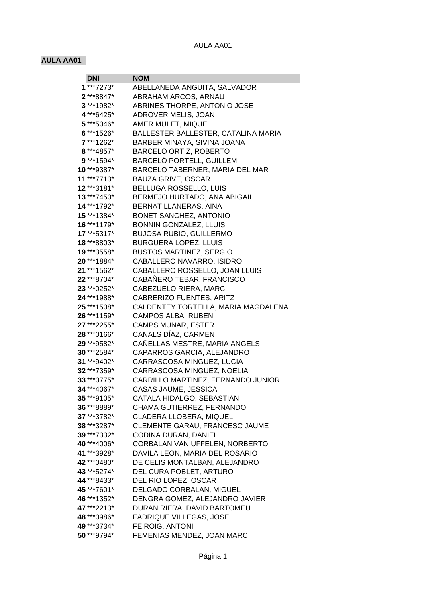## AULA AA01

## **AULA AA01**

| DNI          | NOM                                 |
|--------------|-------------------------------------|
| $1***7273*$  | ABELLANEDA ANGUITA, SALVADOR        |
| 2***8847*    | ABRAHAM ARCOS, ARNAU                |
| $3***1982*$  | ABRINES THORPE, ANTONIO JOSE        |
| 4***6425*    | ADROVER MELIS, JOAN                 |
| $5***5046*$  | AMER MULET, MIQUEL                  |
| $6***1526*$  | BALLESTER BALLESTER, CATALINA MARIA |
| 7***1262*    | BARBER MINAYA, SIVINA JOANA         |
| 8 *** 4857*  | <b>BARCELO ORTIZ, ROBERTO</b>       |
| $9***1594*$  | BARCELÓ PORTELL, GUILLEM            |
| $10***9387*$ | BARCELO TABERNER, MARIA DEL MAR     |
| 11***7713*   | <b>BAUZA GRIVE, OSCAR</b>           |
| 12***3181*   | <b>BELLUGA ROSSELLO, LUIS</b>       |
| 13 *** 7450* | BERMEJO HURTADO, ANA ABIGAIL        |
| 14***1792*   | BERNAT LLANERAS, AINA               |
| 15***1384*   | <b>BONET SANCHEZ, ANTONIO</b>       |
| 16***1179*   | <b>BONNIN GONZALEZ, LLUIS</b>       |
| 17***5317*   | <b>BUJOSA RUBIO, GUILLERMO</b>      |
| 18***8803*   | <b>BURGUERA LOPEZ, LLUIS</b>        |
| 19 *** 3558* | <b>BUSTOS MARTINEZ, SERGIO</b>      |
| 20 *** 1884* | CABALLERO NAVARRO, ISIDRO           |
| 21 *** 1562* | CABALLERO ROSSELLO, JOAN LLUIS      |
| 22 *** 8704* | CABAÑERO TEBAR, FRANCISCO           |
| 23 *** 0252* | CABEZUELO RIERA, MARC               |
| 24 *** 1988* | CABRERIZO FUENTES, ARITZ            |
| 25 *** 1508* | CALDENTEY TORTELLA, MARIA MAGDALENA |
| 26 *** 1159* | CAMPOS ALBA, RUBEN                  |
| 27 *** 2255* | <b>CAMPS MUNAR, ESTER</b>           |
| 28 *** 0166* | CANALS DÍAZ, CARMEN                 |
| 29 *** 9582* | CAÑELLAS MESTRE, MARIA ANGELS       |
| 30 *** 2584* | CAPARROS GARCIA, ALEJANDRO          |
| 31***9402*   | CARRASCOSA MINGUEZ, LUCIA           |
| 32 *** 7359* | CARRASCOSA MINGUEZ, NOELIA          |
| 33 *** 0775* | CARRILLO MARTINEZ, FERNANDO JUNIOR  |
| 34 *** 4067* | CASAS JAUME, JESSICA                |
| 35 ***9105*  | CATALA HIDALGO, SEBASTIAN           |
| 36 *** 8889* | CHAMA GUTIERREZ, FERNANDO           |
| 37***3782*   | CLADERA LLOBERA, MIQUEL             |
| 38 *** 3287* | CLEMENTE GARAU, FRANCESC JAUME      |
| 39 *** 7332* | CODINA DURAN, DANIEL                |
| 40***4006*   | CORBALAN VAN UFFELEN, NORBERTO      |
| 41 *** 3928* | DAVILA LEON, MARIA DEL ROSARIO      |
| 42 *** 0480* | DE CELIS MONTALBAN, ALEJANDRO       |
| 43 *** 5274* | DEL CURA POBLET, ARTURO             |
| 44***8433*   | DEL RIO LOPEZ, OSCAR                |
| 45 *** 7601* | DELGADO CORBALAN, MIGUEL            |
| 46 *** 1352* | DENGRA GOMEZ, ALEJANDRO JAVIER      |
| 47***2213*   | DURAN RIERA, DAVID BARTOMEU         |
| 48 *** 0986* | FADRIQUE VILLEGAS, JOSE             |
| 49 *** 3734* | FE ROIG, ANTONI                     |
| 50 *** 9794* | FEMENIAS MENDEZ, JOAN MARC          |
|              |                                     |